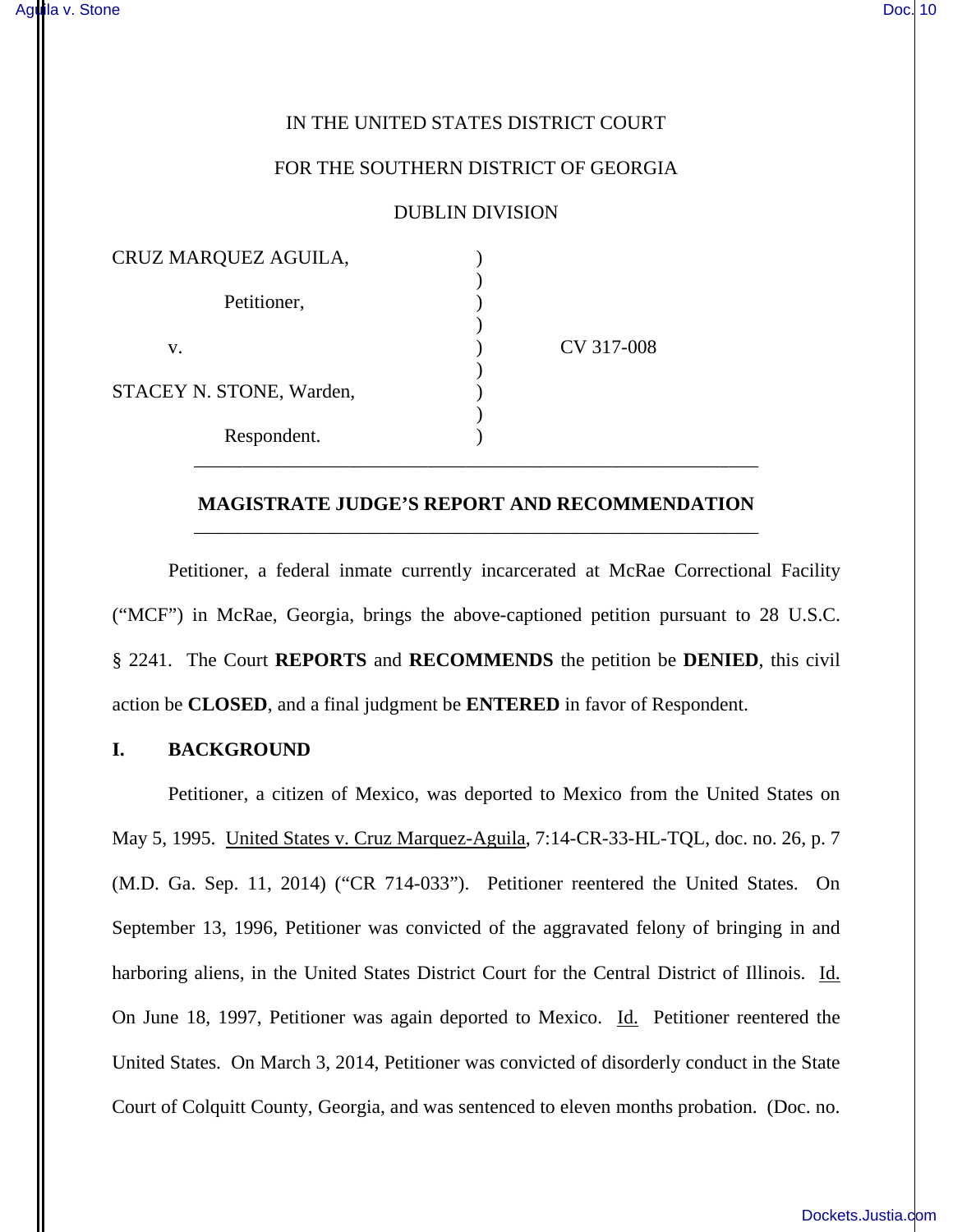### IN THE UNITED STATES DISTRICT COURT

#### FOR THE SOUTHERN DISTRICT OF GEORGIA

#### DUBLIN DIVISION

| CRUZ MARQUEZ AGUILA,     |            |
|--------------------------|------------|
| Petitioner,              |            |
| V.                       | CV 317-008 |
| STACEY N. STONE, Warden, |            |
|                          |            |
| Respondent.              |            |

# **MAGISTRATE JUDGE'S REPORT AND RECOMMENDATION** \_\_\_\_\_\_\_\_\_\_\_\_\_\_\_\_\_\_\_\_\_\_\_\_\_\_\_\_\_\_\_\_\_\_\_\_\_\_\_\_\_\_\_\_\_\_\_\_\_\_\_\_\_\_\_\_\_\_

\_\_\_\_\_\_\_\_\_\_\_\_\_\_\_\_\_\_\_\_\_\_\_\_\_\_\_\_\_\_\_\_\_\_\_\_\_\_\_\_\_\_\_\_\_\_\_\_\_\_\_\_\_\_\_\_\_\_

Petitioner, a federal inmate currently incarcerated at McRae Correctional Facility ("MCF") in McRae, Georgia, brings the above-captioned petition pursuant to 28 U.S.C. § 2241. The Court **REPORTS** and **RECOMMENDS** the petition be **DENIED**, this civil action be **CLOSED**, and a final judgment be **ENTERED** in favor of Respondent.

## **I. BACKGROUND**

Petitioner, a citizen of Mexico, was deported to Mexico from the United States on May 5, 1995. United States v. Cruz Marquez-Aguila, 7:14-CR-33-HL-TQL, doc. no. 26, p. 7 (M.D. Ga. Sep. 11, 2014) ("CR 714-033"). Petitioner reentered the United States. On September 13, 1996, Petitioner was convicted of the aggravated felony of bringing in and harboring aliens, in the United States District Court for the Central District of Illinois. Id. On June 18, 1997, Petitioner was again deported to Mexico. Id. Petitioner reentered the United States. On March 3, 2014, Petitioner was convicted of disorderly conduct in the State Court of Colquitt County, Georgia, and was sentenced to eleven months probation. (Doc. no.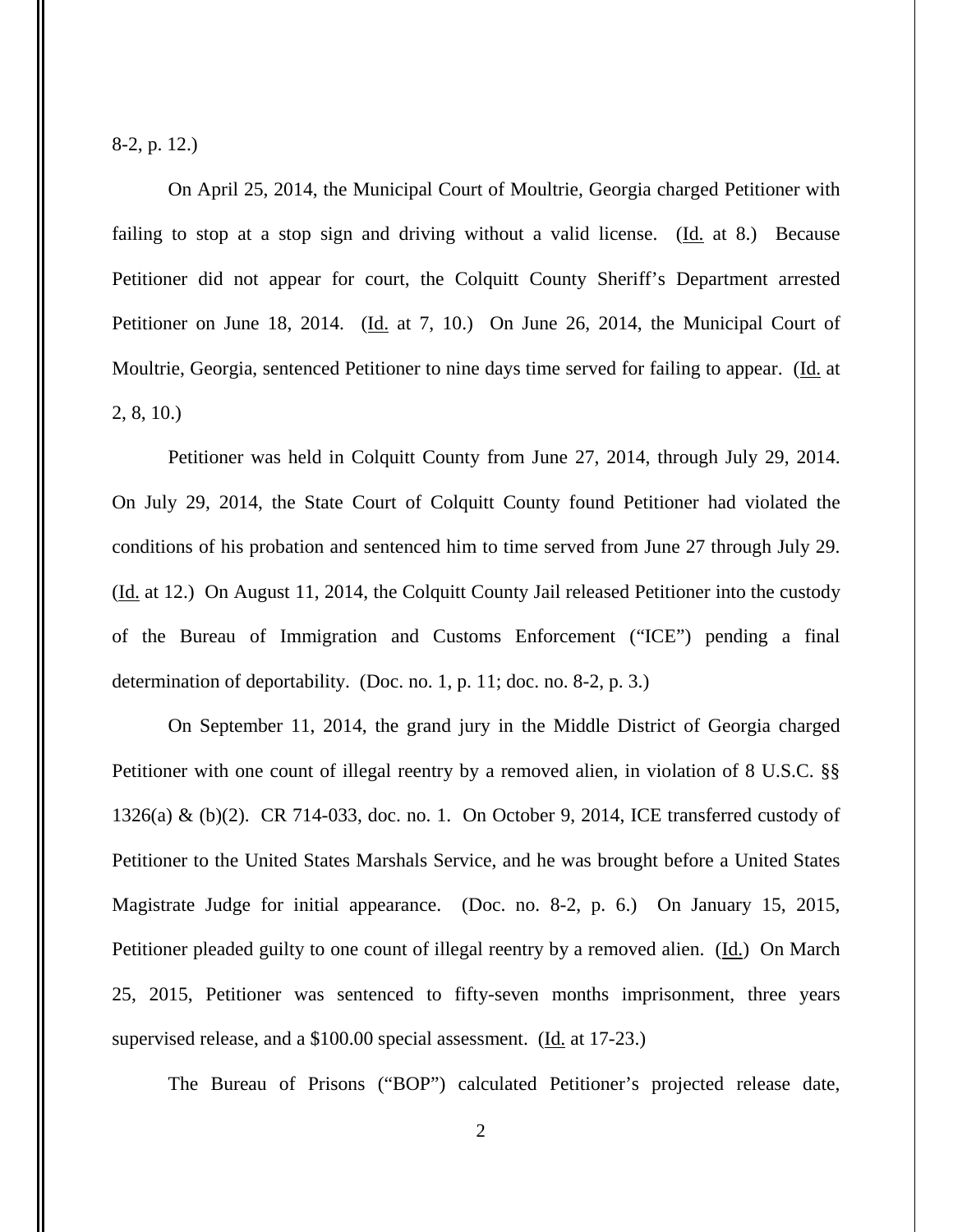8-2, p. 12.)

On April 25, 2014, the Municipal Court of Moultrie, Georgia charged Petitioner with failing to stop at a stop sign and driving without a valid license.  $(Id. 1a 8.)$  Because Petitioner did not appear for court, the Colquitt County Sheriff's Department arrested Petitioner on June 18, 2014. (Id. at 7, 10.) On June 26, 2014, the Municipal Court of Moultrie, Georgia, sentenced Petitioner to nine days time served for failing to appear. (Id. at 2, 8, 10.)

Petitioner was held in Colquitt County from June 27, 2014, through July 29, 2014. On July 29, 2014, the State Court of Colquitt County found Petitioner had violated the conditions of his probation and sentenced him to time served from June 27 through July 29. (Id. at 12.) On August 11, 2014, the Colquitt County Jail released Petitioner into the custody of the Bureau of Immigration and Customs Enforcement ("ICE") pending a final determination of deportability. (Doc. no. 1, p. 11; doc. no. 8-2, p. 3.)

On September 11, 2014, the grand jury in the Middle District of Georgia charged Petitioner with one count of illegal reentry by a removed alien, in violation of 8 U.S.C. §§ 1326(a) & (b)(2). CR 714-033, doc. no. 1. On October 9, 2014, ICE transferred custody of Petitioner to the United States Marshals Service, and he was brought before a United States Magistrate Judge for initial appearance. (Doc. no. 8-2, p. 6.) On January 15, 2015, Petitioner pleaded guilty to one count of illegal reentry by a removed alien. (Id.) On March 25, 2015, Petitioner was sentenced to fifty-seven months imprisonment, three years supervised release, and a \$100.00 special assessment. (Id. at 17-23.)

The Bureau of Prisons ("BOP") calculated Petitioner's projected release date,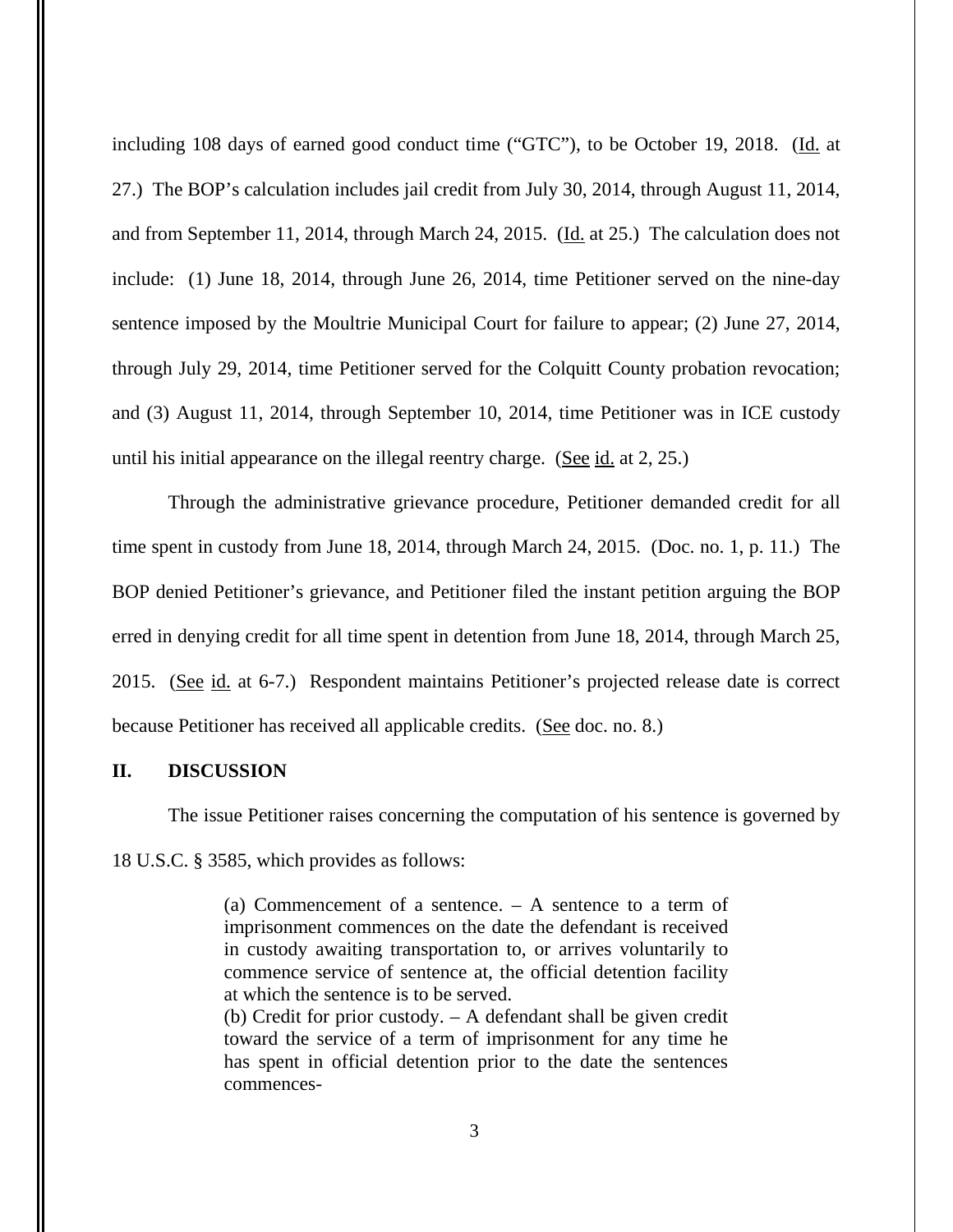including 108 days of earned good conduct time ("GTC"), to be October 19, 2018. (Id. at 27.) The BOP's calculation includes jail credit from July 30, 2014, through August 11, 2014, and from September 11, 2014, through March 24, 2015. (Id. at 25.) The calculation does not include: (1) June 18, 2014, through June 26, 2014, time Petitioner served on the nine-day sentence imposed by the Moultrie Municipal Court for failure to appear; (2) June 27, 2014, through July 29, 2014, time Petitioner served for the Colquitt County probation revocation; and (3) August 11, 2014, through September 10, 2014, time Petitioner was in ICE custody until his initial appearance on the illegal reentry charge. (See id. at 2, 25.)

Through the administrative grievance procedure, Petitioner demanded credit for all time spent in custody from June 18, 2014, through March 24, 2015. (Doc. no. 1, p. 11.) The BOP denied Petitioner's grievance, and Petitioner filed the instant petition arguing the BOP erred in denying credit for all time spent in detention from June 18, 2014, through March 25, 2015. (See id. at 6-7.) Respondent maintains Petitioner's projected release date is correct because Petitioner has received all applicable credits. (See doc. no. 8.)

# **II. DISCUSSION**

The issue Petitioner raises concerning the computation of his sentence is governed by

18 U.S.C. § 3585, which provides as follows:

(a) Commencement of a sentence. – A sentence to a term of imprisonment commences on the date the defendant is received in custody awaiting transportation to, or arrives voluntarily to commence service of sentence at, the official detention facility at which the sentence is to be served.

(b) Credit for prior custody. – A defendant shall be given credit toward the service of a term of imprisonment for any time he has spent in official detention prior to the date the sentences commences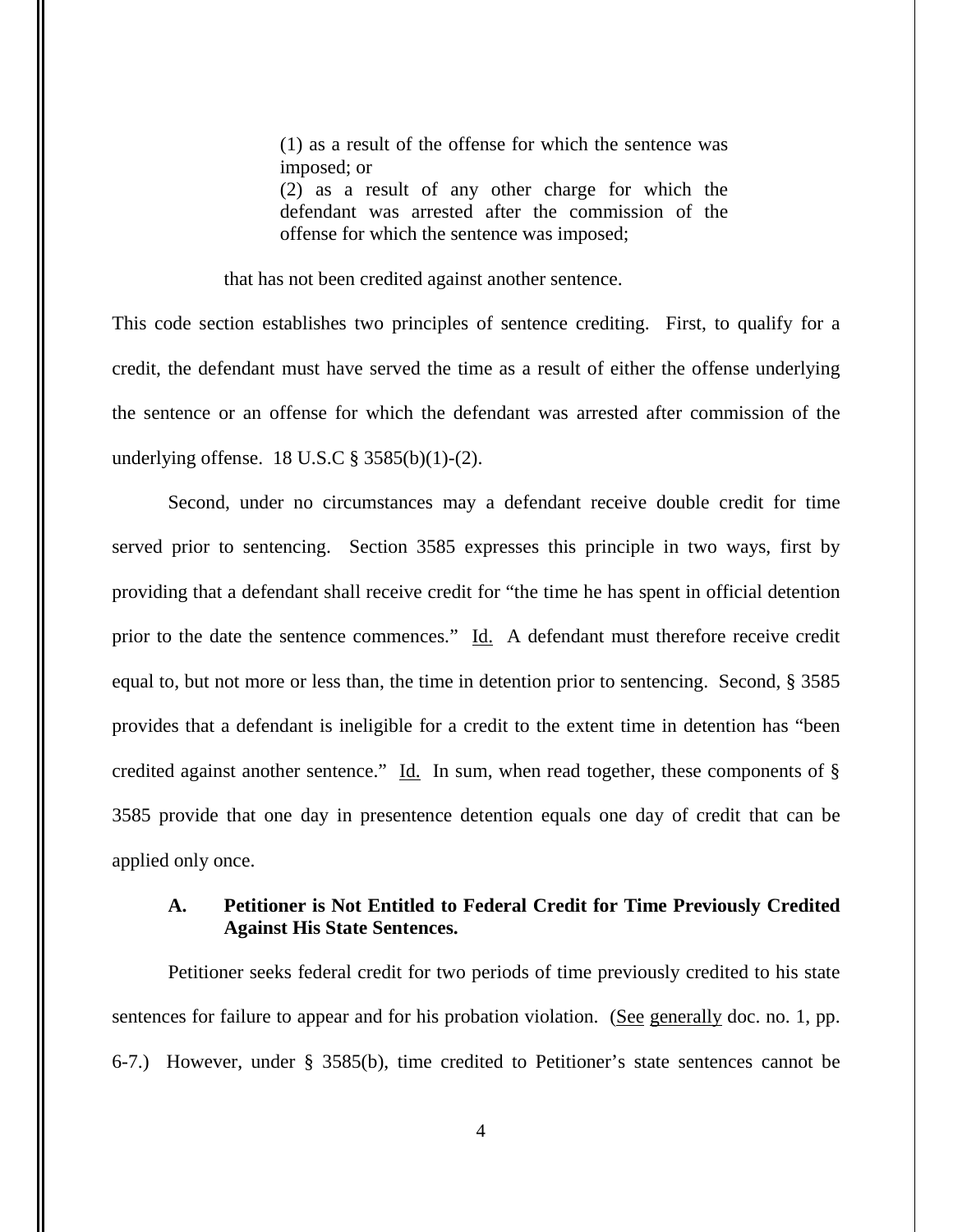(1) as a result of the offense for which the sentence was imposed; or

(2) as a result of any other charge for which the defendant was arrested after the commission of the offense for which the sentence was imposed;

that has not been credited against another sentence.

This code section establishes two principles of sentence crediting. First, to qualify for a credit, the defendant must have served the time as a result of either the offense underlying the sentence or an offense for which the defendant was arrested after commission of the underlying offense. 18 U.S.C § 3585(b)(1)-(2).

Second, under no circumstances may a defendant receive double credit for time served prior to sentencing. Section 3585 expresses this principle in two ways, first by providing that a defendant shall receive credit for "the time he has spent in official detention prior to the date the sentence commences." Id. A defendant must therefore receive credit equal to, but not more or less than, the time in detention prior to sentencing. Second, § 3585 provides that a defendant is ineligible for a credit to the extent time in detention has "been credited against another sentence." Id. In sum, when read together, these components of  $\S$ 3585 provide that one day in presentence detention equals one day of credit that can be applied only once.

## **A. Petitioner is Not Entitled to Federal Credit for Time Previously Credited Against His State Sentences.**

Petitioner seeks federal credit for two periods of time previously credited to his state sentences for failure to appear and for his probation violation. (See generally doc. no. 1, pp. 6-7.) However, under § 3585(b), time credited to Petitioner's state sentences cannot be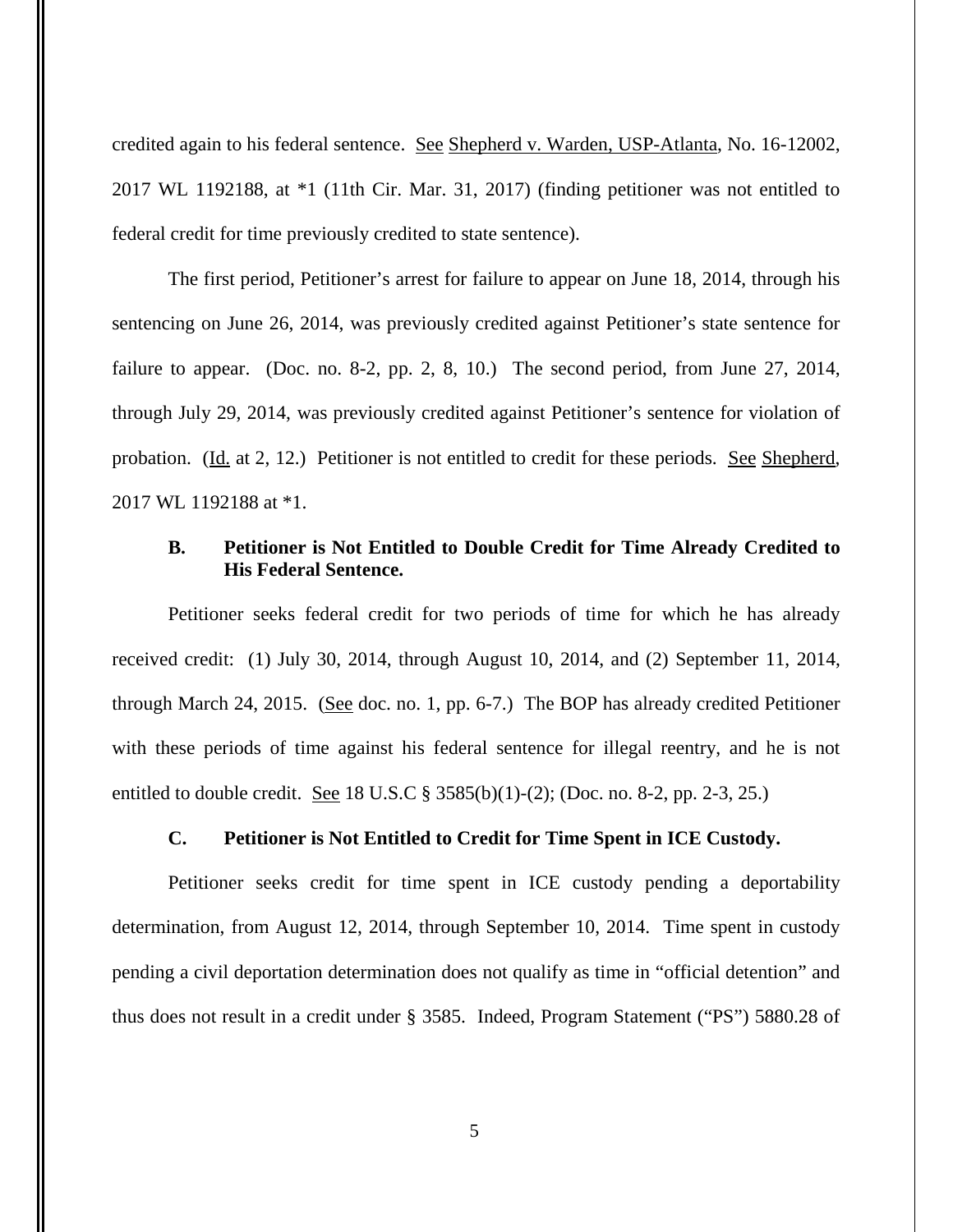credited again to his federal sentence. See Shepherd v. Warden, USP-Atlanta, No. 16-12002, 2017 WL 1192188, at \*1 (11th Cir. Mar. 31, 2017) (finding petitioner was not entitled to federal credit for time previously credited to state sentence).

The first period, Petitioner's arrest for failure to appear on June 18, 2014, through his sentencing on June 26, 2014, was previously credited against Petitioner's state sentence for failure to appear. (Doc. no. 8-2, pp. 2, 8, 10.) The second period, from June 27, 2014, through July 29, 2014, was previously credited against Petitioner's sentence for violation of probation. (Id. at 2, 12.) Petitioner is not entitled to credit for these periods. <u>See Shepherd</u>, 2017 WL 1192188 at \*1.

# **B. Petitioner is Not Entitled to Double Credit for Time Already Credited to His Federal Sentence.**

Petitioner seeks federal credit for two periods of time for which he has already received credit: (1) July 30, 2014, through August 10, 2014, and (2) September 11, 2014, through March 24, 2015. (See doc. no. 1, pp. 6-7.) The BOP has already credited Petitioner with these periods of time against his federal sentence for illegal reentry, and he is not entitled to double credit. <u>See</u> 18 U.S.C § 3585(b)(1)-(2); (Doc. no. 8-2, pp. 2-3, 25.)

## **C. Petitioner is Not Entitled to Credit for Time Spent in ICE Custody.**

Petitioner seeks credit for time spent in ICE custody pending a deportability determination, from August 12, 2014, through September 10, 2014. Time spent in custody pending a civil deportation determination does not qualify as time in "official detention" and thus does not result in a credit under § 3585. Indeed, Program Statement ("PS") 5880.28 of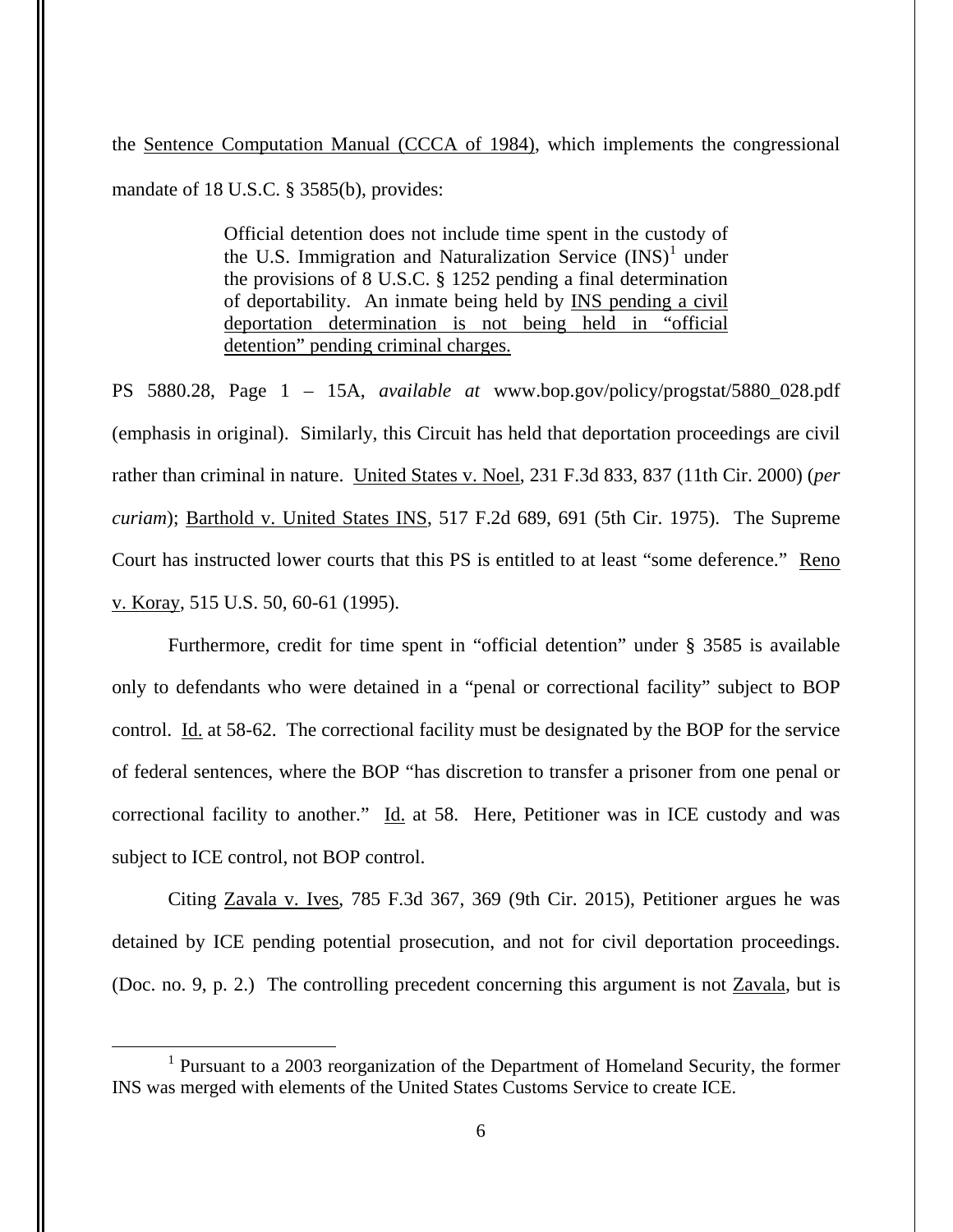the Sentence Computation Manual (CCCA of 1984), which implements the congressional mandate of 18 U.S.C. § 3585(b), provides:

> Official detention does not include time spent in the custody of the U.S. Immigration and Naturalization Service  $(INS)^1$  $(INS)^1$  under the provisions of 8 U.S.C. § 1252 pending a final determination of deportability. An inmate being held by INS pending a civil deportation determination is not being held in "official detention" pending criminal charges.

PS 5880.28, Page 1 – 15A, *available at* www.bop.gov/policy/progstat/5880\_028.pdf (emphasis in original). Similarly, this Circuit has held that deportation proceedings are civil rather than criminal in nature. United States v. Noel, 231 F.3d 833, 837 (11th Cir. 2000) (*per curiam*); Barthold v. United States INS, 517 F.2d 689, 691 (5th Cir. 1975). The Supreme Court has instructed lower courts that this PS is entitled to at least "some deference." Reno v. Koray, 515 U.S. 50, 60-61 (1995).

Furthermore, credit for time spent in "official detention" under § 3585 is available only to defendants who were detained in a "penal or correctional facility" subject to BOP control. Id. at 58-62. The correctional facility must be designated by the BOP for the service of federal sentences, where the BOP "has discretion to transfer a prisoner from one penal or correctional facility to another." Id. at 58. Here, Petitioner was in ICE custody and was subject to ICE control, not BOP control.

Citing Zavala v. Ives, 785 F.3d 367, 369 (9th Cir. 2015), Petitioner argues he was detained by ICE pending potential prosecution, and not for civil deportation proceedings. (Doc. no. 9, p. 2.) The controlling precedent concerning this argument is not Zavala, but is

 $\overline{a}$ 

<span id="page-5-0"></span><sup>&</sup>lt;sup>1</sup> Pursuant to a 2003 reorganization of the Department of Homeland Security, the former INS was merged with elements of the United States Customs Service to create ICE.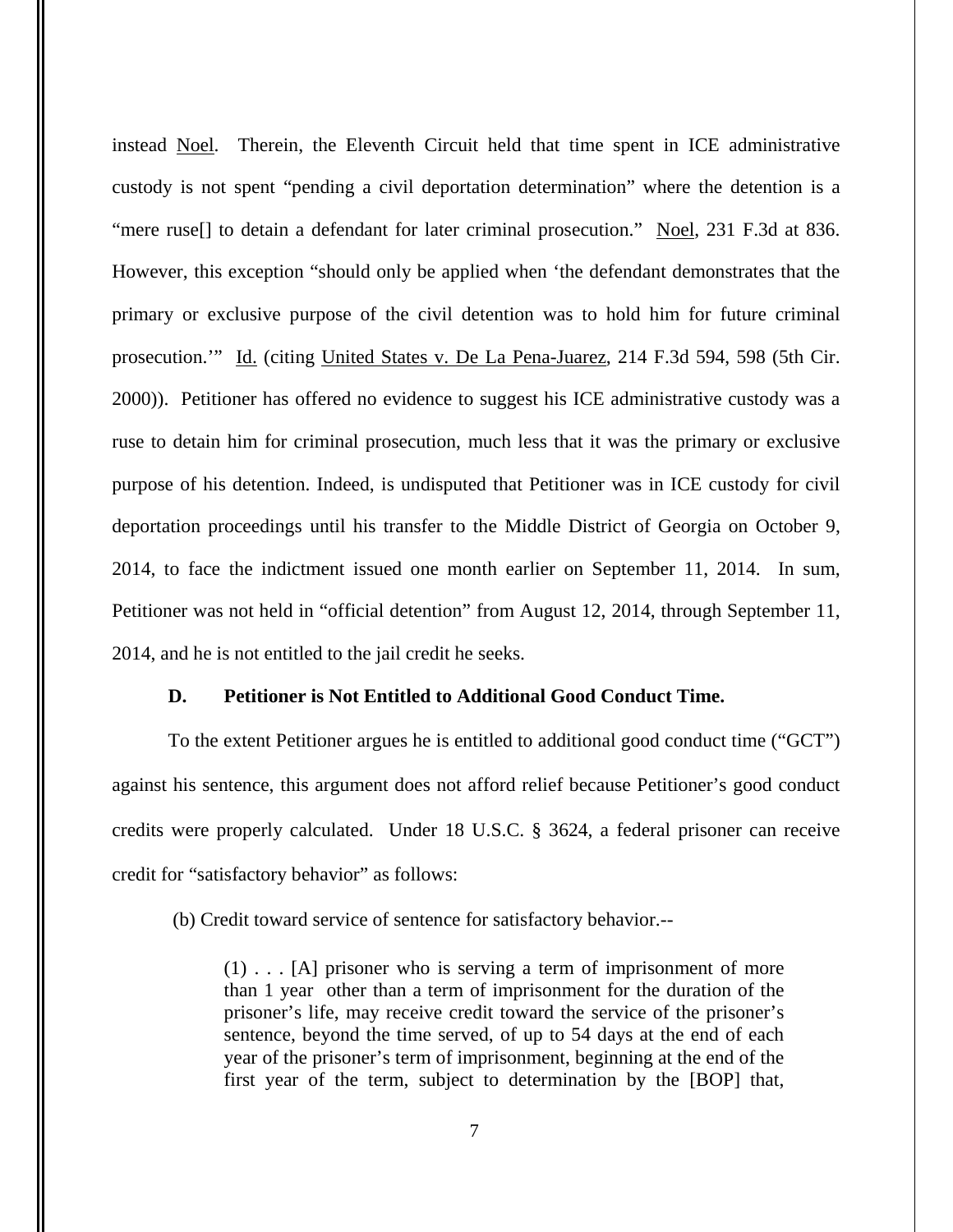instead Noel. Therein, the Eleventh Circuit held that time spent in ICE administrative custody is not spent "pending a civil deportation determination" where the detention is a "mere ruse<sup>[]</sup> to detain a defendant for later criminal prosecution." Noel, 231 F.3d at 836. However, this exception "should only be applied when 'the defendant demonstrates that the primary or exclusive purpose of the civil detention was to hold him for future criminal prosecution.'" Id. (citing United States v. De La Pena-Juarez, 214 F.3d 594, 598 (5th Cir. 2000)). Petitioner has offered no evidence to suggest his ICE administrative custody was a ruse to detain him for criminal prosecution, much less that it was the primary or exclusive purpose of his detention. Indeed, is undisputed that Petitioner was in ICE custody for civil deportation proceedings until his transfer to the Middle District of Georgia on October 9, 2014, to face the indictment issued one month earlier on September 11, 2014. In sum, Petitioner was not held in "official detention" from August 12, 2014, through September 11, 2014, and he is not entitled to the jail credit he seeks.

## **D. Petitioner is Not Entitled to Additional Good Conduct Time.**

To the extent Petitioner argues he is entitled to additional good conduct time ("GCT") against his sentence, this argument does not afford relief because Petitioner's good conduct credits were properly calculated. Under 18 U.S.C. § 3624, a federal prisoner can receive credit for "satisfactory behavior" as follows:

(b) Credit toward service of sentence for satisfactory behavior.--

(1) . . . [A] prisoner who is serving a term of imprisonment of more than 1 year other than a term of imprisonment for the duration of the prisoner's life, may receive credit toward the service of the prisoner's sentence, beyond the time served, of up to 54 days at the end of each year of the prisoner's term of imprisonment, beginning at the end of the first year of the term, subject to determination by the [BOP] that,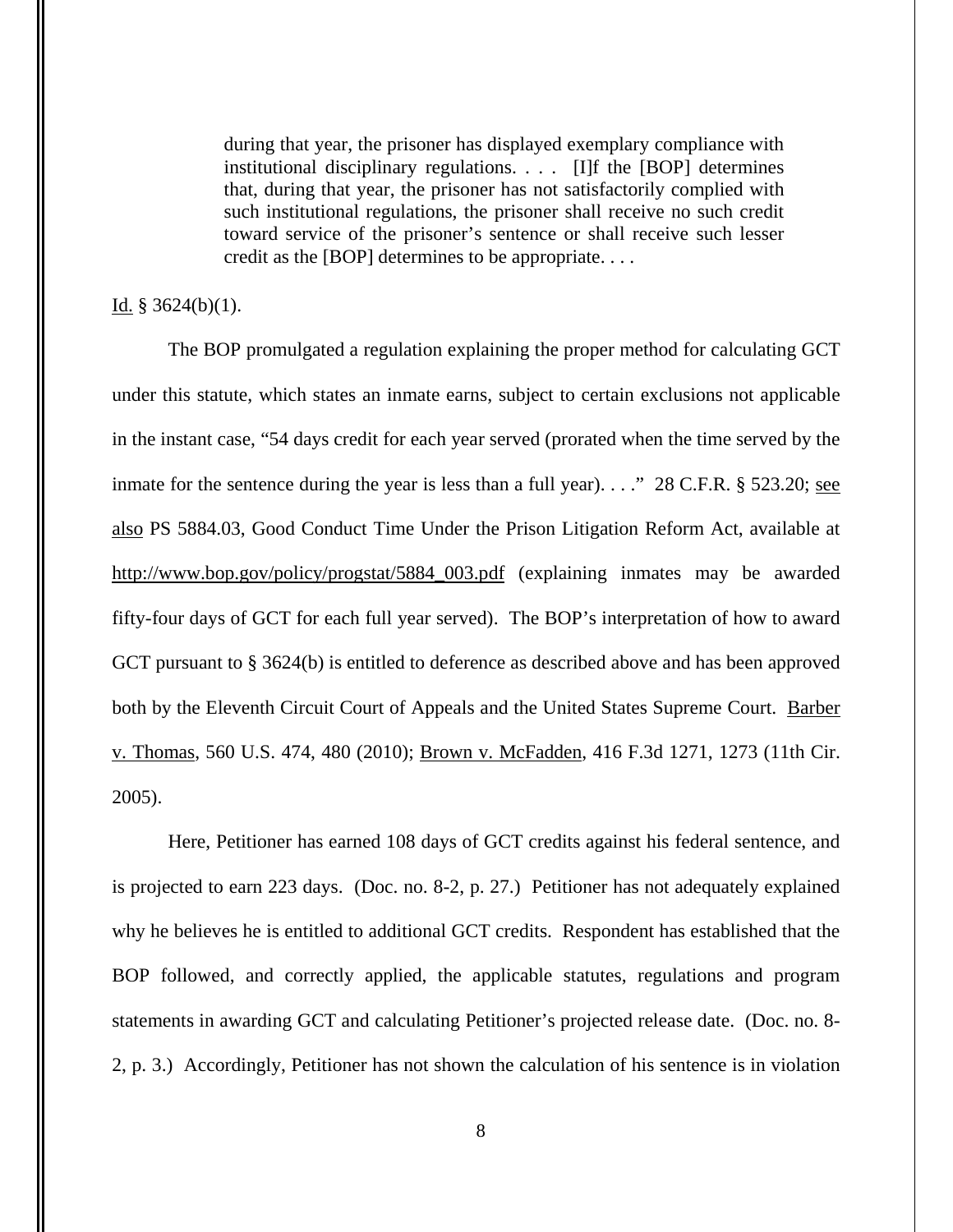during that year, the prisoner has displayed exemplary compliance with institutional disciplinary regulations. . . . [I]f the [BOP] determines that, during that year, the prisoner has not satisfactorily complied with such institutional regulations, the prisoner shall receive no such credit toward service of the prisoner's sentence or shall receive such lesser credit as the [BOP] determines to be appropriate. . . .

### Id.  $§$  3624(b)(1).

The BOP promulgated a regulation explaining the proper method for calculating GCT under this statute, which states an inmate earns, subject to certain exclusions not applicable in the instant case, "54 days credit for each year served (prorated when the time served by the inmate for the sentence during the year is less than a full year). . . ." 28 C.F.R. § 523.20; see also PS 5884.03, Good Conduct Time Under the Prison Litigation Reform Act, available at [http://www.bop.gov/policy/progstat/5884\\_003.pdf](http://www.bop.gov/policy/progstat/5884_003.pdf) (explaining inmates may be awarded fifty-four days of GCT for each full year served). The BOP's interpretation of how to award GCT pursuant to § 3624(b) is entitled to deference as described above and has been approved both by the Eleventh Circuit Court of Appeals and the United States Supreme Court. Barber v. Thomas, 560 U.S. 474, 480 (2010); Brown v. McFadden, 416 F.3d 1271, 1273 (11th Cir. 2005).

Here, Petitioner has earned 108 days of GCT credits against his federal sentence, and is projected to earn 223 days. (Doc. no. 8-2, p. 27.) Petitioner has not adequately explained why he believes he is entitled to additional GCT credits. Respondent has established that the BOP followed, and correctly applied, the applicable statutes, regulations and program statements in awarding GCT and calculating Petitioner's projected release date. (Doc. no. 8- 2, p. 3.) Accordingly, Petitioner has not shown the calculation of his sentence is in violation